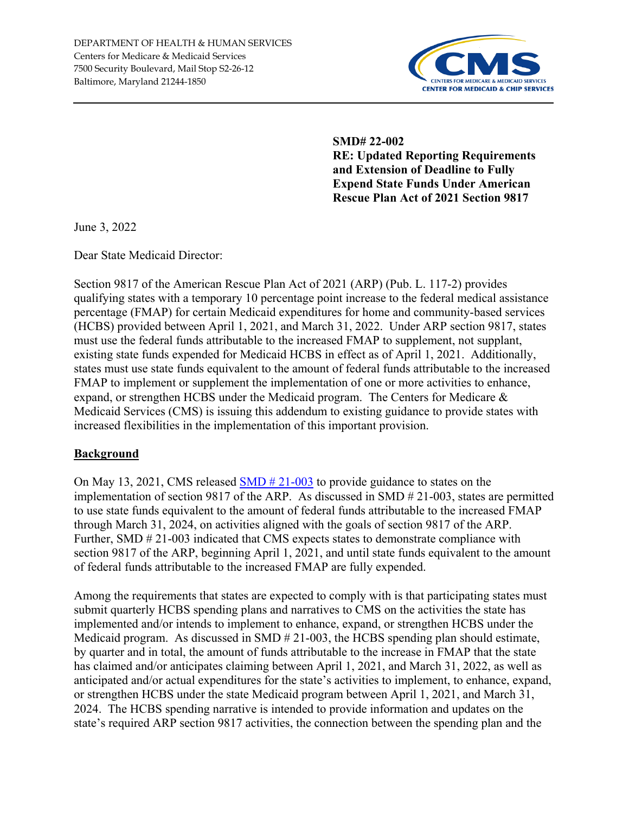

**SMD# 22-002 RE: Updated Reporting Requirements and Extension of Deadline to Fully Expend State Funds Under American Rescue Plan Act of 2021 Section 9817** 

June 3, 2022

Dear State Medicaid Director:

Section 9817 of the American Rescue Plan Act of 2021 (ARP) (Pub. L. 117-2) provides qualifying states with a temporary 10 percentage point increase to the federal medical assistance percentage (FMAP) for certain Medicaid expenditures for home and community-based services (HCBS) provided between April 1, 2021, and March 31, 2022. Under ARP section 9817, states must use the federal funds attributable to the increased FMAP to supplement, not supplant, existing state funds expended for Medicaid HCBS in effect as of April 1, 2021. Additionally, states must use state funds equivalent to the amount of federal funds attributable to the increased FMAP to implement or supplement the implementation of one or more activities to enhance, expand, or strengthen HCBS under the Medicaid program. The Centers for Medicare & Medicaid Services (CMS) is issuing this addendum to existing guidance to provide states with increased flexibilities in the implementation of this important provision.

#### **Background**

On May 13, 2021, CMS released [SMD # 21-003](https://www.medicaid.gov/federal-policy-guidance/downloads/smd21003.pdf) to provide guidance to states on the implementation of section 9817 of the ARP. As discussed in SMD # 21-003, states are permitted to use state funds equivalent to the amount of federal funds attributable to the increased FMAP through March 31, 2024, on activities aligned with the goals of section 9817 of the ARP. Further, SMD  $\#$  21-003 indicated that CMS expects states to demonstrate compliance with section 9817 of the ARP, beginning April 1, 2021, and until state funds equivalent to the amount of federal funds attributable to the increased FMAP are fully expended.

Among the requirements that states are expected to comply with is that participating states must submit quarterly HCBS spending plans and narratives to CMS on the activities the state has implemented and/or intends to implement to enhance, expand, or strengthen HCBS under the Medicaid program. As discussed in SMD # 21-003, the HCBS spending plan should estimate, by quarter and in total, the amount of funds attributable to the increase in FMAP that the state has claimed and/or anticipates claiming between April 1, 2021, and March 31, 2022, as well as anticipated and/or actual expenditures for the state's activities to implement, to enhance, expand, or strengthen HCBS under the state Medicaid program between April 1, 2021, and March 31, 2024. The HCBS spending narrative is intended to provide information and updates on the state's required ARP section 9817 activities, the connection between the spending plan and the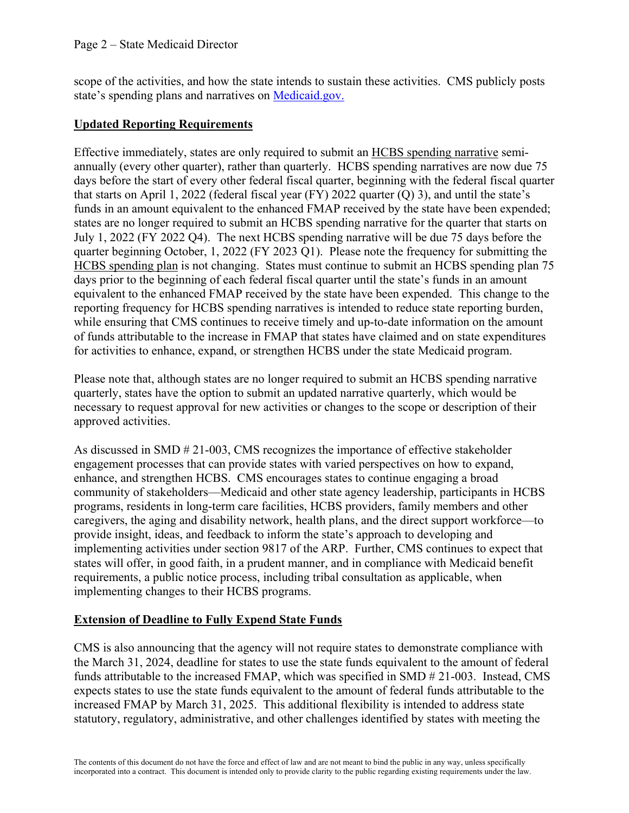scope of the activities, and how the state intends to sustain these activities. CMS publicly posts state's spending plans and narratives on [Medicaid.gov.](https://www.medicaid.gov/medicaid/home-community-based-services/guidance/strengthening-and-investing-home-and-community-based-services-for-medicaid-beneficiaries-american-rescue-plan-act-of-2021-section-9817-spending-plans-and-narratives/index.html)

## **Updated Reporting Requirements**

Effective immediately, states are only required to submit an HCBS spending narrative semiannually (every other quarter), rather than quarterly. HCBS spending narratives are now due 75 days before the start of every other federal fiscal quarter, beginning with the federal fiscal quarter that starts on April 1, 2022 (federal fiscal year (FY) 2022 quarter (Q) 3), and until the state's funds in an amount equivalent to the enhanced FMAP received by the state have been expended; states are no longer required to submit an HCBS spending narrative for the quarter that starts on July 1, 2022 (FY 2022 Q4). The next HCBS spending narrative will be due 75 days before the quarter beginning October, 1, 2022 (FY 2023 Q1). Please note the frequency for submitting the HCBS spending plan is not changing. States must continue to submit an HCBS spending plan 75 days prior to the beginning of each federal fiscal quarter until the state's funds in an amount equivalent to the enhanced FMAP received by the state have been expended. This change to the reporting frequency for HCBS spending narratives is intended to reduce state reporting burden, while ensuring that CMS continues to receive timely and up-to-date information on the amount of funds attributable to the increase in FMAP that states have claimed and on state expenditures for activities to enhance, expand, or strengthen HCBS under the state Medicaid program.

Please note that, although states are no longer required to submit an HCBS spending narrative quarterly, states have the option to submit an updated narrative quarterly, which would be necessary to request approval for new activities or changes to the scope or description of their approved activities.

As discussed in SMD # 21-003, CMS recognizes the importance of effective stakeholder engagement processes that can provide states with varied perspectives on how to expand, enhance, and strengthen HCBS. CMS encourages states to continue engaging a broad community of stakeholders—Medicaid and other state agency leadership, participants in HCBS programs, residents in long-term care facilities, HCBS providers, family members and other caregivers, the aging and disability network, health plans, and the direct support workforce—to provide insight, ideas, and feedback to inform the state's approach to developing and implementing activities under section 9817 of the ARP. Further, CMS continues to expect that states will offer, in good faith, in a prudent manner, and in compliance with Medicaid benefit requirements, a public notice process, including tribal consultation as applicable, when implementing changes to their HCBS programs.

#### **Extension of Deadline to Fully Expend State Funds**

CMS is also announcing that the agency will not require states to demonstrate compliance with the March 31, 2024, deadline for states to use the state funds equivalent to the amount of federal funds attributable to the increased FMAP, which was specified in SMD # 21-003. Instead, CMS expects states to use the state funds equivalent to the amount of federal funds attributable to the increased FMAP by March 31, 2025. This additional flexibility is intended to address state statutory, regulatory, administrative, and other challenges identified by states with meeting the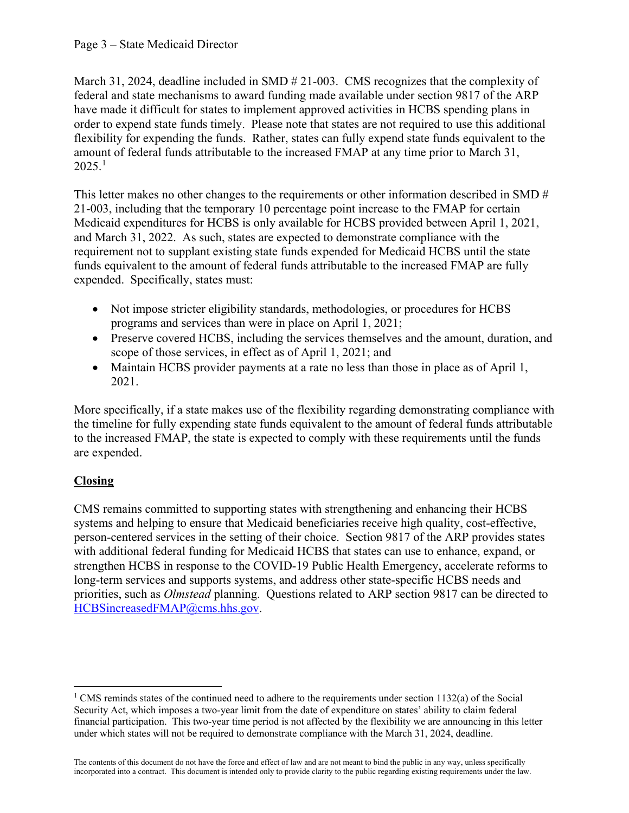March 31, 2024, deadline included in SMD # 21-003. CMS recognizes that the complexity of federal and state mechanisms to award funding made available under section 9817 of the ARP have made it difficult for states to implement approved activities in HCBS spending plans in order to expend state funds timely. Please note that states are not required to use this additional flexibility for expending the funds. Rather, states can fully expend state funds equivalent to the amount of federal funds attributable to the increased FMAP at any time prior to March 31,  $2025.<sup>1</sup>$  $2025.<sup>1</sup>$  $2025.<sup>1</sup>$ 

This letter makes no other changes to the requirements or other information described in SMD # 21-003, including that the temporary 10 percentage point increase to the FMAP for certain Medicaid expenditures for HCBS is only available for HCBS provided between April 1, 2021, and March 31, 2022. As such, states are expected to demonstrate compliance with the requirement not to supplant existing state funds expended for Medicaid HCBS until the state funds equivalent to the amount of federal funds attributable to the increased FMAP are fully expended. Specifically, states must:

- Not impose stricter eligibility standards, methodologies, or procedures for HCBS programs and services than were in place on April 1, 2021;
- Preserve covered HCBS, including the services themselves and the amount, duration, and scope of those services, in effect as of April 1, 2021; and
- Maintain HCBS provider payments at a rate no less than those in place as of April 1, 2021.

More specifically, if a state makes use of the flexibility regarding demonstrating compliance with the timeline for fully expending state funds equivalent to the amount of federal funds attributable to the increased FMAP, the state is expected to comply with these requirements until the funds are expended.

# **Closing**

l

CMS remains committed to supporting states with strengthening and enhancing their HCBS systems and helping to ensure that Medicaid beneficiaries receive high quality, cost-effective, person-centered services in the setting of their choice. Section 9817 of the ARP provides states with additional federal funding for Medicaid HCBS that states can use to enhance, expand, or strengthen HCBS in response to the COVID-19 Public Health Emergency, accelerate reforms to long-term services and supports systems, and address other state-specific HCBS needs and priorities, such as *Olmstead* planning. Questions related to ARP section 9817 can be directed to [HCBSincreasedFMAP@cms.hhs.gov.](mailto:HCBSincreasedFMAP@cms.hhs.gov)

<span id="page-2-0"></span><sup>&</sup>lt;sup>1</sup> CMS reminds states of the continued need to adhere to the requirements under section  $1132(a)$  of the Social Security Act, which imposes a two-year limit from the date of expenditure on states' ability to claim federal financial participation. This two-year time period is not affected by the flexibility we are announcing in this letter under which states will not be required to demonstrate compliance with the March 31, 2024, deadline.

The contents of this document do not have the force and effect of law and are not meant to bind the public in any way, unless specifically incorporated into a contract. This document is intended only to provide clarity to the public regarding existing requirements under the law.